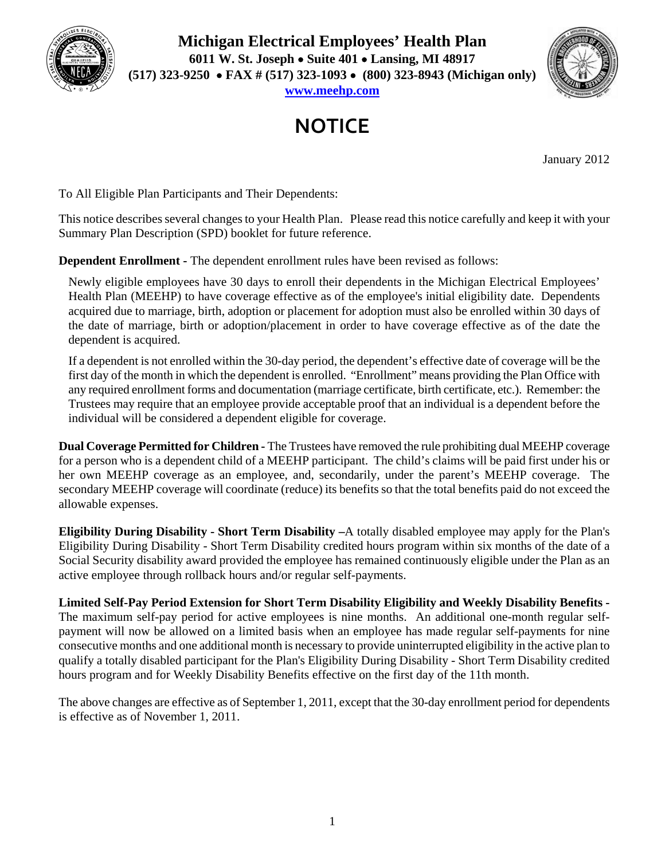

**Michigan Electrical Employees' Health Plan 6011 W. St. Joseph Suite 401 Lansing, MI 48917 (517) 323-9250 FAX # (517) 323-1093 (800) 323-8943 (Michigan only) www.meehp.com**



## **NOTICE**

January 2012

To All Eligible Plan Participants and Their Dependents:

This notice describes several changes to your Health Plan. Please read this notice carefully and keep it with your Summary Plan Description (SPD) booklet for future reference.

**Dependent Enrollment -** The dependent enrollment rules have been revised as follows:

Newly eligible employees have 30 days to enroll their dependents in the Michigan Electrical Employees' Health Plan (MEEHP) to have coverage effective as of the employee's initial eligibility date. Dependents acquired due to marriage, birth, adoption or placement for adoption must also be enrolled within 30 days of the date of marriage, birth or adoption/placement in order to have coverage effective as of the date the dependent is acquired.

If a dependent is not enrolled within the 30-day period, the dependent's effective date of coverage will be the first day of the month in which the dependent is enrolled. "Enrollment" means providing the Plan Office with any required enrollment forms and documentation (marriage certificate, birth certificate, etc.). Remember: the Trustees may require that an employee provide acceptable proof that an individual is a dependent before the individual will be considered a dependent eligible for coverage.

**Dual Coverage Permitted for Children -** The Trustees have removed the rule prohibiting dual MEEHP coverage for a person who is a dependent child of a MEEHP participant. The child's claims will be paid first under his or her own MEEHP coverage as an employee, and, secondarily, under the parent's MEEHP coverage. The secondary MEEHP coverage will coordinate (reduce) its benefits so that the total benefits paid do not exceed the allowable expenses.

**Eligibility During Disability - Short Term Disability –**A totally disabled employee may apply for the Plan's Eligibility During Disability - Short Term Disability credited hours program within six months of the date of a Social Security disability award provided the employee has remained continuously eligible under the Plan as an active employee through rollback hours and/or regular self-payments.

**Limited Self-Pay Period Extension for Short Term Disability Eligibility and Weekly Disability Benefits -** The maximum self-pay period for active employees is nine months. An additional one-month regular selfpayment will now be allowed on a limited basis when an employee has made regular self-payments for nine consecutive months and one additional month is necessary to provide uninterrupted eligibility in the active plan to qualify a totally disabled participant for the Plan's Eligibility During Disability - Short Term Disability credited hours program and for Weekly Disability Benefits effective on the first day of the 11th month.

The above changes are effective as of September 1, 2011, except that the 30-day enrollment period for dependents is effective as of November 1, 2011.